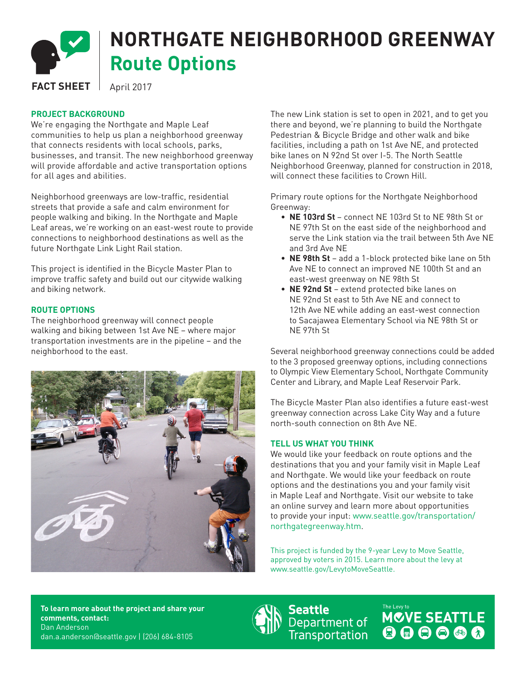

## **NORTHGATE NEIGHBORHOOD GREENWAY Route Options**

**FACT SHEET** | April 2017

## **PROJECT BACKGROUND**

We're engaging the Northgate and Maple Leaf communities to help us plan a neighborhood greenway that connects residents with local schools, parks, businesses, and transit. The new neighborhood greenway will provide affordable and active transportation options for all ages and abilities.

Neighborhood greenways are low-traffic, residential streets that provide a safe and calm environment for people walking and biking. In the Northgate and Maple Leaf areas, we're working on an east-west route to provide connections to neighborhood destinations as well as the future Northgate Link Light Rail station.

This project is identified in the Bicycle Master Plan to improve traffic safety and build out our citywide walking and biking network.

## **ROUTE OPTIONS**

The neighborhood greenway will connect people walking and biking between 1st Ave NE – where major transportation investments are in the pipeline – and the neighborhood to the east.



The new Link station is set to open in 2021, and to get you there and beyond, we're planning to build the Northgate Pedestrian & Bicycle Bridge and other walk and bike facilities, including a path on 1st Ave NE, and protected bike lanes on N 92nd St over I-5. The North Seattle Neighborhood Greenway, planned for construction in 2018, will connect these facilities to Crown Hill.

Primary route options for the Northgate Neighborhood Greenway:

- **NE 103rd St**  connect NE 103rd St to NE 98th St or NE 97th St on the east side of the neighborhood and serve the Link station via the trail between 5th Ave NE and 3rd Ave NE
- **NE 98th St** add a 1-block protected bike lane on 5th Ave NE to connect an improved NE 100th St and an east-west greenway on NE 98th St
- **NE 92nd St** extend protected bike lanes on NE 92nd St east to 5th Ave NE and connect to 12th Ave NE while adding an east-west connection to Sacajawea Elementary School via NE 98th St or NE 97th St

Several neighborhood greenway connections could be added to the 3 proposed greenway options, including connections to Olympic View Elementary School, Northgate Community Center and Library, and Maple Leaf Reservoir Park.

The Bicycle Master Plan also identifies a future east-west greenway connection across Lake City Way and a future north-south connection on 8th Ave NE.

## **TELL US WHAT YOU THINK**

We would like your feedback on route options and the destinations that you and your family visit in Maple Leaf and Northgate. We would like your feedback on route options and the destinations you and your family visit in Maple Leaf and Northgate. Visit our website to take an online survey and learn more about opportunities to provide your input: www.seattle.gov/transportation/ northgategreenway.htm.

This project is funded by the 9-year Levy to Move Seattle, approved by voters in 2015. Learn more about the levy at www.seattle.gov/LevytoMoveSeattle.

**To learn more about the project and share your comments, contact:** Dan Anderson dan.a.anderson@seattle.gov | (206) 684-8105



**Seattle Seattle**<br>Department of<br>Transportation

The Lew to MCVE SEATTLE 000000